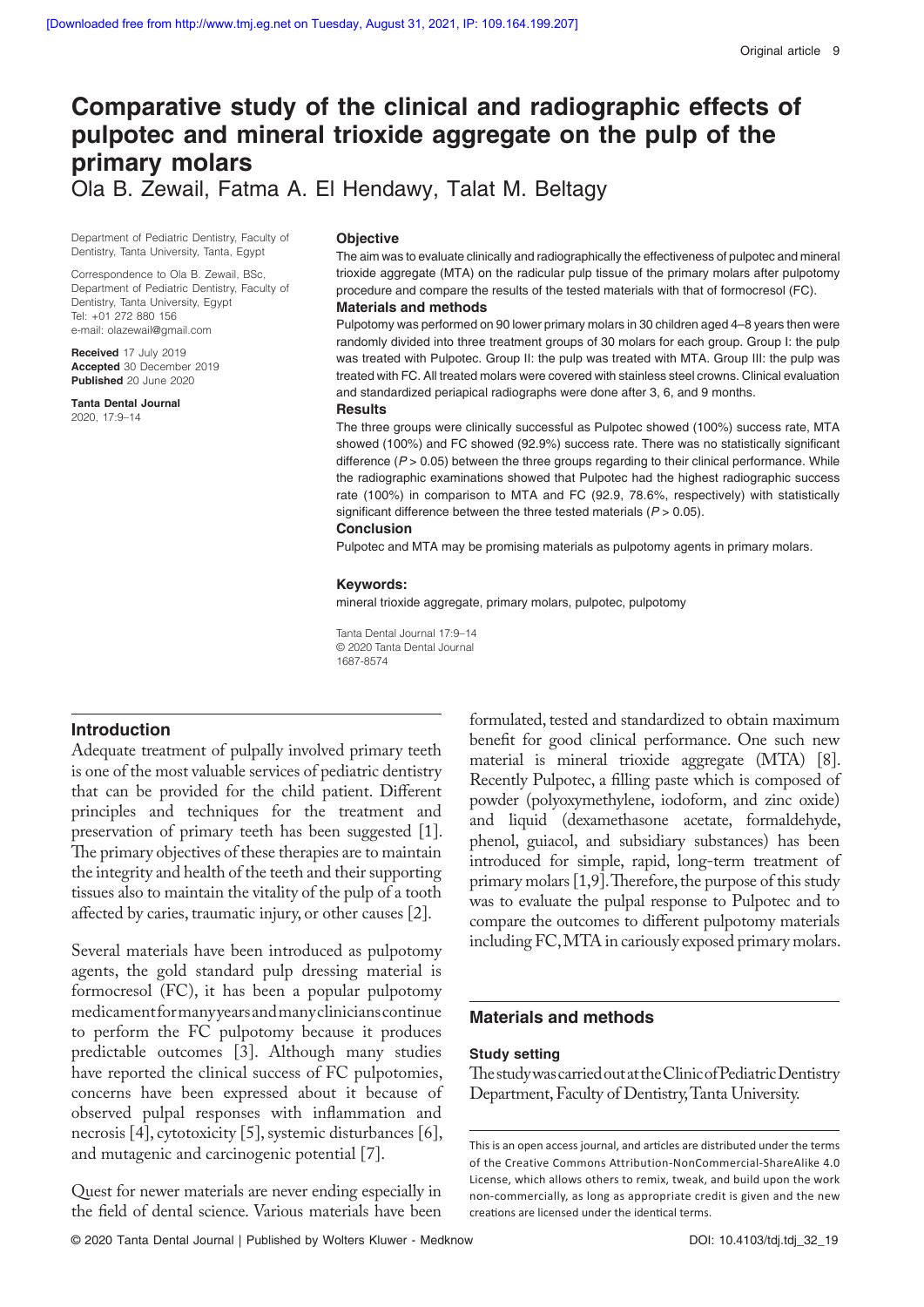# **Comparative study of the clinical and radiographic effects of pulpotec and mineral trioxide aggregate on the pulp of the primary molars** Ola B. Zewail, Fatma A. El Hendawy, Talat M. Beltagy

Department of Pediatric Dentistry, Faculty of Dentistry, Tanta University, Tanta, Egypt

Correspondence to Ola B. Zewail, BSc, Department of Pediatric Dentistry, Faculty of Dentistry, Tanta University, Egypt Tel: +01 272 880 156 e‑mail: olazewail@gmail.com

**Received** 17 July 2019 **Accepted** 30 December 2019 **Published** 20 June 2020

**Tanta Dental Journal**  2020, 17:9–14

#### **Objective**

The aim was to evaluate clinically and radiographically the effectiveness of pulpotec and mineral trioxide aggregate (MTA) on the radicular pulp tissue of the primary molars after pulpotomy procedure and compare the results of the tested materials with that of formocresol (FC). **Materials and methods**

Pulpotomy was performed on 90 lower primary molars in 30 children aged 4–8 years then were randomly divided into three treatment groups of 30 molars for each group. Group I: the pulp was treated with Pulpotec. Group II: the pulp was treated with MTA. Group III: the pulp was treated with FC. All treated molars were covered with stainless steel crowns. Clinical evaluation and standardized periapical radiographs were done after 3, 6, and 9 months.

#### **Results**

The three groups were clinically successful as Pulpotec showed (100%) success rate, MTA showed (100%) and FC showed (92.9%) success rate. There was no statistically significant difference ( $P > 0.05$ ) between the three groups regarding to their clinical performance. While the radiographic examinations showed that Pulpotec had the highest radiographic success rate (100%) in comparison to MTA and FC (92.9, 78.6%, respectively) with statistically significant difference between the three tested materials (*P* > 0.05).

#### **Conclusion**

Pulpotec and MTA may be promising materials as pulpotomy agents in primary molars.

#### **Keywords:**

mineral trioxide aggregate, primary molars, pulpotec, pulpotomy

Tanta Dental Journal 17:9–14 © 2020 Tanta Dental Journal 1687-8574

### **Introduction**

Adequate treatment of pulpally involved primary teeth is one of the most valuable services of pediatric dentistry that can be provided for the child patient. Different principles and techniques for the treatment and preservation of primary teeth has been suggested [1]. The primary objectives of these therapies are to maintain the integrity and health of the teeth and their supporting tissues also to maintain the vitality of the pulp of a tooth affected by caries, traumatic injury, or other causes [2].

Several materials have been introduced as pulpotomy agents, the gold standard pulp dressing material is formocresol (FC), it has been a popular pulpotomy medicament for many years and many clinicians continue to perform the FC pulpotomy because it produces predictable outcomes [3]. Although many studies have reported the clinical success of FC pulpotomies, concerns have been expressed about it because of observed pulpal responses with inflammation and necrosis [4], cytotoxicity [5], systemic disturbances [6], and mutagenic and carcinogenic potential [7].

Quest for newer materials are never ending especially in the field of dental science. Various materials have been formulated, tested and standardized to obtain maximum benefit for good clinical performance. One such new material is mineral trioxide aggregate (MTA) [8]. Recently Pulpotec, a filling paste which is composed of powder (polyoxymethylene, iodoform, and zinc oxide) and liquid (dexamethasone acetate, formaldehyde, phenol, guiacol, and subsidiary substances) has been introduced for simple, rapid, long-term treatment of primary molars [1,9]. Therefore, the purpose of this study was to evaluate the pulpal response to Pulpotec and to compare the outcomes to different pulpotomy materials including FC, MTA in cariously exposed primary molars.

# **Materials and methods**

#### **Study setting**

The study was carried out at the Clinic of Pediatric Dentistry Department, Faculty of Dentistry, Tanta University.

This is an open access journal, and articles are distributed under the terms of the Creative Commons Attribution‑NonCommercial‑ShareAlike 4.0 License, which allows others to remix, tweak, and build upon the work non‑commercially, as long as appropriate credit is given and the new creations are licensed under the identical terms.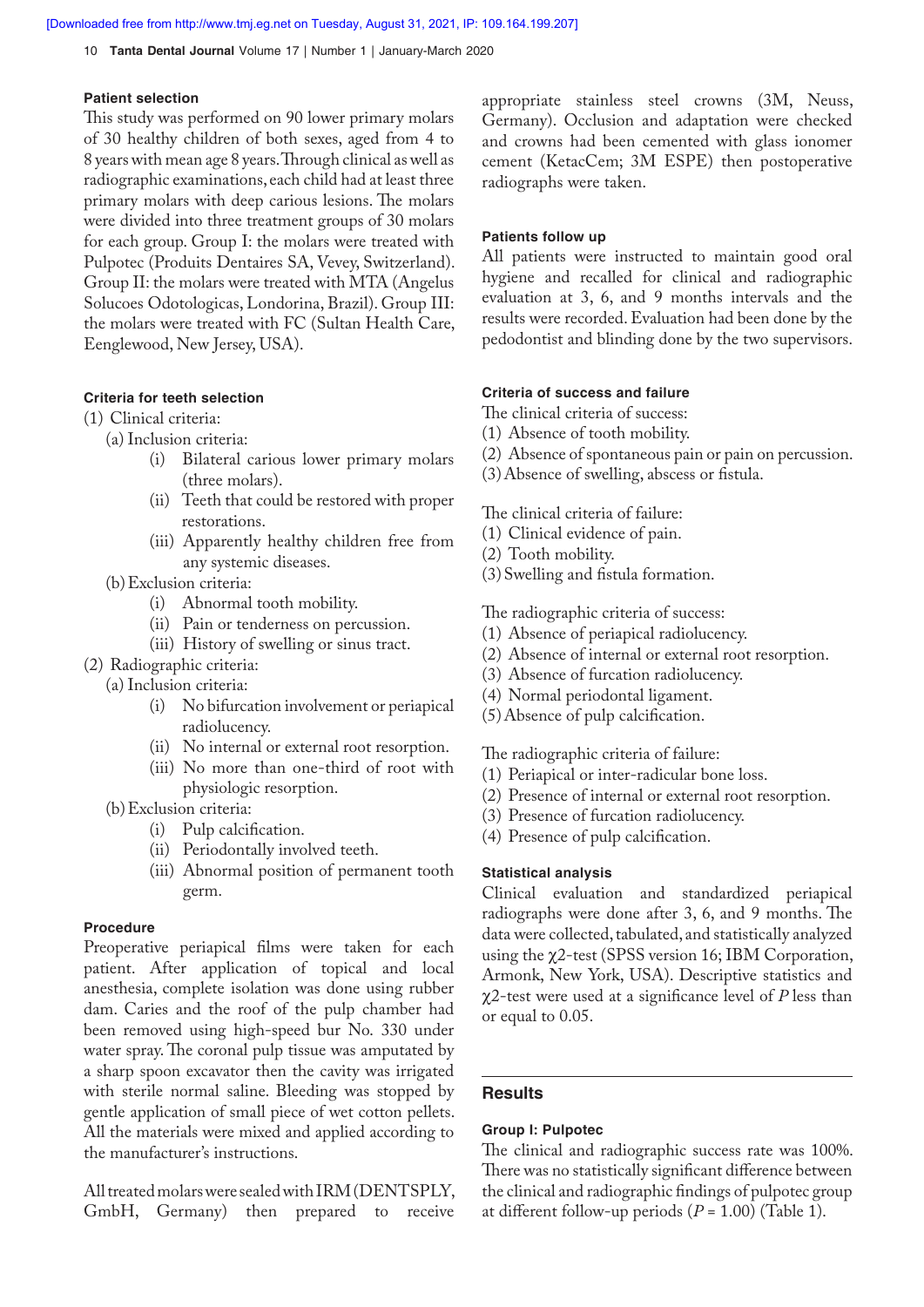**[Downloaded free from http://www.tmj.eg.net on Tuesday, August 31, 2021, IP: 109.164.199.207]**

10 **Tanta Dental Journal** Volume 17 | Number 1 | January-March 2020

#### **Patient selection**

This study was performed on 90 lower primary molars of 30 healthy children of both sexes, aged from 4 to 8 years with mean age 8 years. Through clinical as well as radiographic examinations, each child had at least three primary molars with deep carious lesions. The molars were divided into three treatment groups of 30 molars for each group. Group I: the molars were treated with Pulpotec (Produits Dentaires SA, Vevey, Switzerland). Group II: the molars were treated with MTA (Angelus Solucoes Odotologicas, Londorina, Brazil). Group III: the molars were treated with FC (Sultan Health Care, Eenglewood, New Jersey, USA).

# **Criteria for teeth selection**

# (1) Clinical criteria:

- (a) Inclusion criteria:
	- (i) Bilateral carious lower primary molars (three molars).
	- (ii) Teeth that could be restored with proper restorations.
	- (iii) Apparently healthy children free from any systemic diseases.
- (b)Exclusion criteria:
	- (i) Abnormal tooth mobility.
	- (ii) Pain or tenderness on percussion.
	- (iii) History of swelling or sinus tract.
- (2) Radiographic criteria:
- (a) Inclusion criteria:
	- (i) No bifurcation involvement or periapical radiolucency.
	- (ii) No internal or external root resorption.
	- (iii) No more than one‑third of root with physiologic resorption.
	- (b)Exclusion criteria:
		- (i) Pulp calcification.
		- (ii) Periodontally involved teeth.
		- (iii) Abnormal position of permanent tooth germ.

### **Procedure**

Preoperative periapical films were taken for each patient. After application of topical and local anesthesia, complete isolation was done using rubber dam. Caries and the roof of the pulp chamber had been removed using high‑speed bur No. 330 under water spray. The coronal pulp tissue was amputated by a sharp spoon excavator then the cavity was irrigated with sterile normal saline. Bleeding was stopped by gentle application of small piece of wet cotton pellets. All the materials were mixed and applied according to the manufacturer's instructions.

All treated molars were sealed with IRM (DENTSPLY, GmbH, Germany) then prepared to receive

appropriate stainless steel crowns (3M, Neuss, Germany). Occlusion and adaptation were checked and crowns had been cemented with glass ionomer cement (KetacCem; 3M ESPE) then postoperative radiographs were taken.

# **Patients follow up**

All patients were instructed to maintain good oral hygiene and recalled for clinical and radiographic evaluation at 3, 6, and 9 months intervals and the results were recorded. Evaluation had been done by the pedodontist and blinding done by the two supervisors.

# **Criteria of success and failure**

The clinical criteria of success:

- (1) Absence of tooth mobility.
- (2) Absence of spontaneous pain or pain on percussion.
- (3)Absence of swelling, abscess or fistula.

The clinical criteria of failure:

- (1) Clinical evidence of pain.
- (2) Tooth mobility.
- (3)Swelling and fistula formation.

The radiographic criteria of success:

- (1) Absence of periapical radiolucency.
- (2) Absence of internal or external root resorption.
- (3) Absence of furcation radiolucency.
- (4) Normal periodontal ligament.
- (5)Absence of pulp calcification.

The radiographic criteria of failure:

- (1) Periapical or inter‑radicular bone loss.
- (2) Presence of internal or external root resorption.
- (3) Presence of furcation radiolucency.
- (4) Presence of pulp calcification.

# **Statistical analysis**

Clinical evaluation and standardized periapical radiographs were done after 3, 6, and 9 months. The data were collected, tabulated, and statistically analyzed using the χ2‑test (SPSS version 16; IBM Corporation, Armonk, New York, USA). Descriptive statistics and χ2‑test were used at a significance level of *P* less than or equal to 0.05.

# **Results**

# **Group I: Pulpotec**

The clinical and radiographic success rate was 100%. There was no statistically significant difference between the clinical and radiographic findings of pulpotec group at different follow-up periods  $(P = 1.00)$  (Table 1).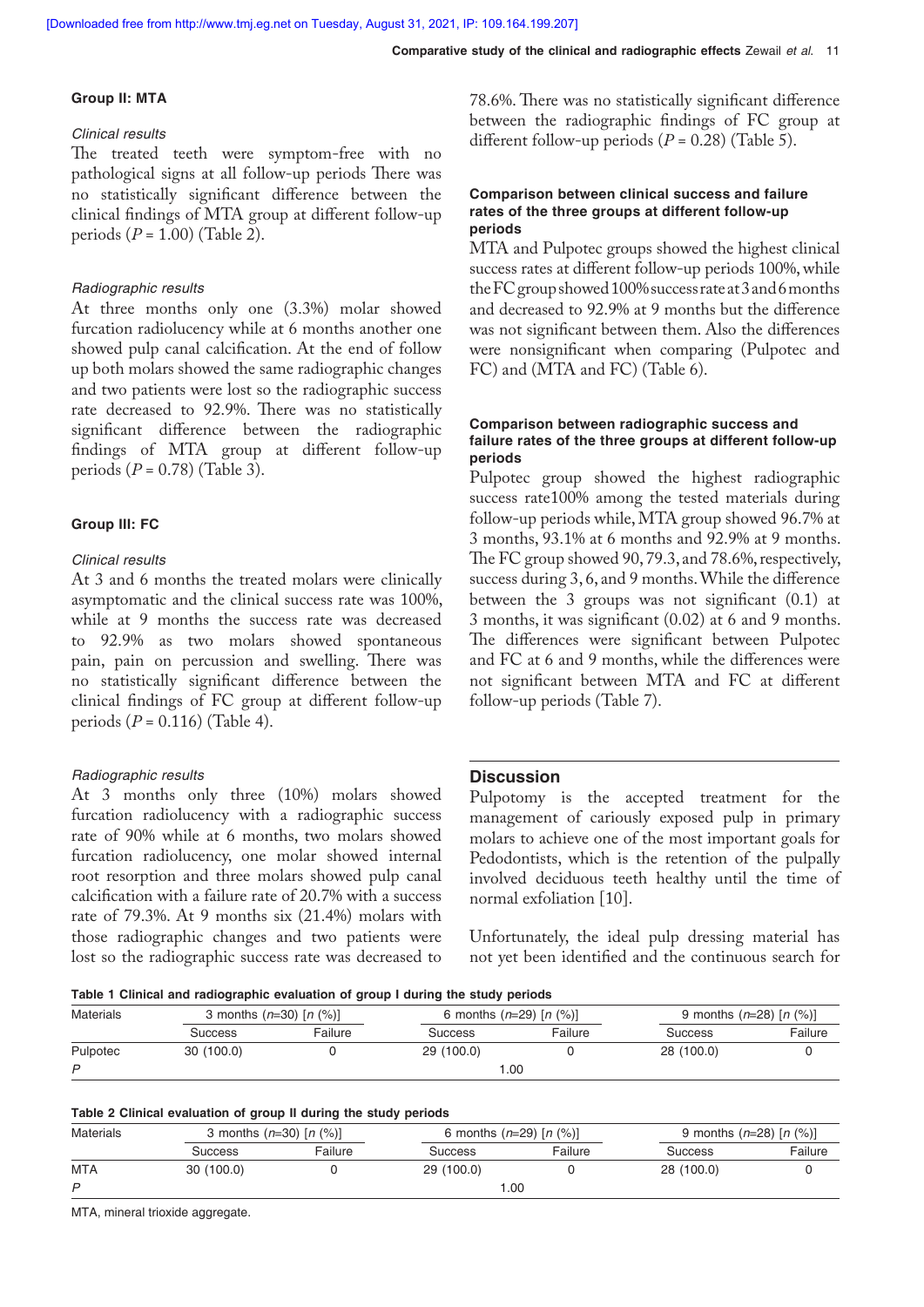#### **Group II: MTA**

### Clinical results

The treated teeth were symptom-free with no pathological signs at all follow‑up periods There was no statistically significant difference between the clinical findings of MTA group at different follow‑up periods (*P* = 1.00) (Table 2).

# Radiographic results

At three months only one (3.3%) molar showed furcation radiolucency while at 6 months another one showed pulp canal calcification. At the end of follow up both molars showed the same radiographic changes and two patients were lost so the radiographic success rate decreased to 92.9%. There was no statistically significant difference between the radiographic findings of MTA group at different follow‑up periods (*P* = 0.78) (Table 3).

### **Group III: FC**

### Clinical results

At 3 and 6 months the treated molars were clinically asymptomatic and the clinical success rate was 100%, while at 9 months the success rate was decreased to 92.9% as two molars showed spontaneous pain, pain on percussion and swelling. There was no statistically significant difference between the clinical findings of FC group at different follow‑up periods (*P* = 0.116) (Table 4).

# Radiographic results

At 3 months only three (10%) molars showed furcation radiolucency with a radiographic success rate of 90% while at 6 months, two molars showed furcation radiolucency, one molar showed internal root resorption and three molars showed pulp canal calcification with a failure rate of 20.7% with a success rate of 79.3%. At 9 months six (21.4%) molars with those radiographic changes and two patients were lost so the radiographic success rate was decreased to

78.6%. There was no statistically significant difference between the radiographic findings of FC group at different follow-up periods  $(P = 0.28)$  (Table 5).

### **Comparison between clinical success and failure rates of the three groups at different follow-up periods**

MTA and Pulpotec groups showed the highest clinical success rates at different follow-up periods 100%, while the FC group showed 100% success rate at 3 and 6 months and decreased to 92.9% at 9 months but the difference was not significant between them. Also the differences were nonsignificant when comparing (Pulpotec and FC) and (MTA and FC) (Table 6).

# **Comparison between radiographic success and failure rates of the three groups at different follow-up periods**

Pulpotec group showed the highest radiographic success rate100% among the tested materials during follow‑up periods while, MTA group showed 96.7% at 3 months, 93.1% at 6 months and 92.9% at 9 months. The FC group showed 90, 79.3, and 78.6%, respectively, success during 3, 6, and 9 months. While the difference between the 3 groups was not significant (0.1) at 3 months, it was significant (0.02) at 6 and 9 months. The differences were significant between Pulpotec and FC at 6 and 9 months, while the differences were not significant between MTA and FC at different follow‑up periods (Table 7).

# **Discussion**

Pulpotomy is the accepted treatment for the management of cariously exposed pulp in primary molars to achieve one of the most important goals for Pedodontists, which is the retention of the pulpally involved deciduous teeth healthy until the time of normal exfoliation [10].

Unfortunately, the ideal pulp dressing material has not yet been identified and the continuous search for

# **Table 1 Clinical and radiographic evaluation of group I during the study periods**

|                  | -                             | -       | -                             |         |                               |         |
|------------------|-------------------------------|---------|-------------------------------|---------|-------------------------------|---------|
| <b>Materials</b> | 3 months $(n=30)$ [n $(\%)$ ] |         | 6 months $(n=29)$ [n $(\%)$ ] |         | 9 months $(n=28)$ [n $(\%)$ ] |         |
|                  | <b>Success</b>                | Failure | <b>Success</b>                | Failure | <b>Success</b>                | Failure |
| Pulpotec         | 30 (100.0)                    |         | 29 (100.0)                    |         | 28 (100.0)                    |         |
| D                |                               |         | 00. ا                         |         |                               |         |

| Materials  | 3 months $(n=30)$ [n $(\%)$ ] |         | 6 months $(n=29)$ [n $(\%)$ ] |         | 9 months $(n=28)$ $[n (%)]$ |         |
|------------|-------------------------------|---------|-------------------------------|---------|-----------------------------|---------|
|            | <b>Success</b>                | Failure | <b>Success</b>                | Failure | <b>Success</b>              | Failure |
| <b>MTA</b> | 30 (100.0)                    |         | 29 (100.0)                    |         | 28 (100.0)                  |         |
| P          |                               |         | .00                           |         |                             |         |

MTA, mineral trioxide aggregate.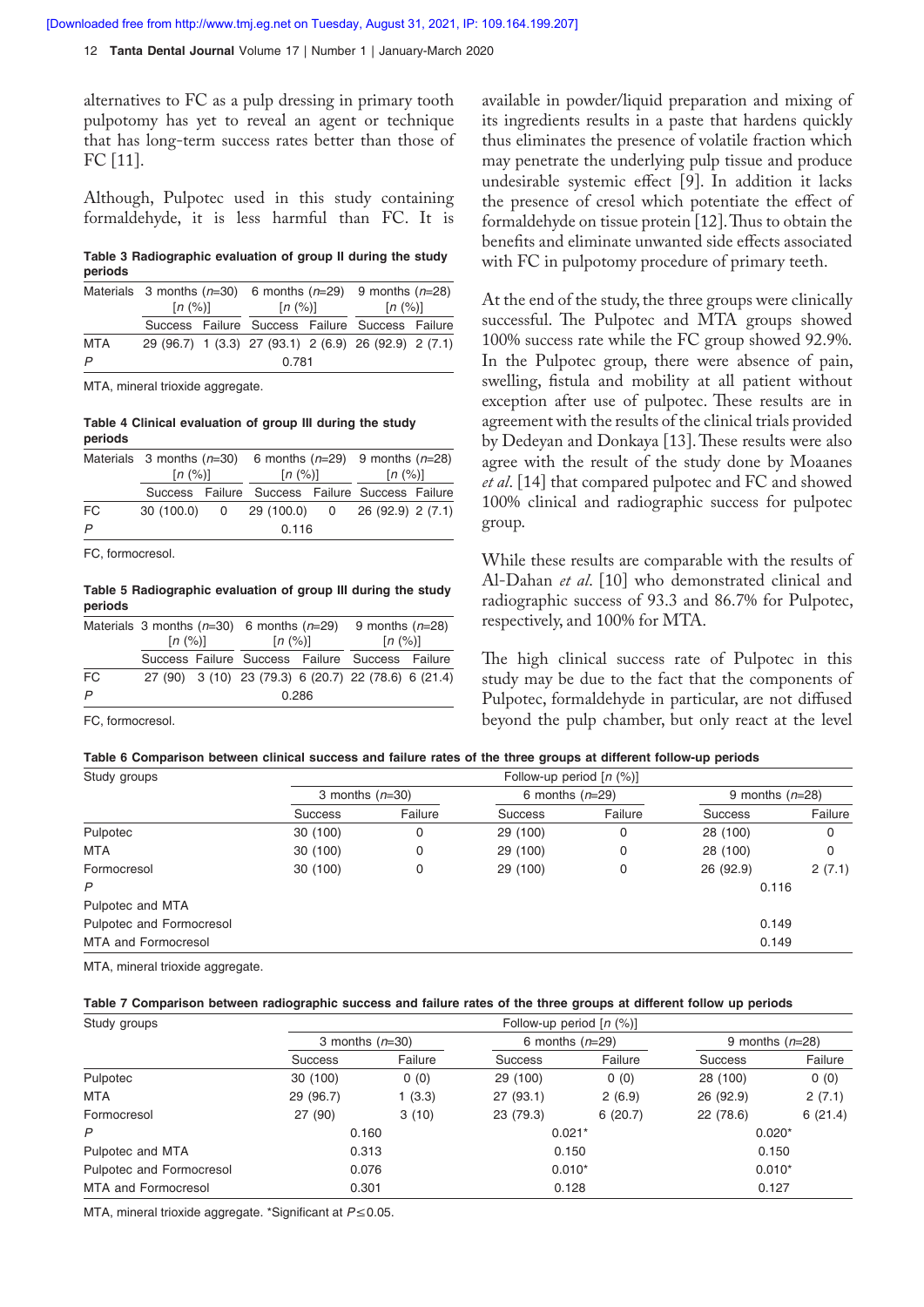alternatives to FC as a pulp dressing in primary tooth pulpotomy has yet to reveal an agent or technique that has long‑term success rates better than those of FC [11].

Although, Pulpotec used in this study containing formaldehyde, it is less harmful than FC. It is

**Table 3 Radiographic evaluation of group II during the study periods**

|              | Materials 3 months $(n=30)$ 6 months $(n=29)$ 9 months $(n=28)$<br>[n (%)] |  | [n (%)]                                               |  |         |  |  |
|--------------|----------------------------------------------------------------------------|--|-------------------------------------------------------|--|---------|--|--|
|              |                                                                            |  |                                                       |  | [n (%)] |  |  |
|              |                                                                            |  | Success Failure Success Failure Success Failure       |  |         |  |  |
| MTA          |                                                                            |  | 29 (96.7) 1 (3.3) 27 (93.1) 2 (6.9) 26 (92.9) 2 (7.1) |  |         |  |  |
| $\mathsf{P}$ | 0.781                                                                      |  |                                                       |  |         |  |  |

MTA, mineral trioxide aggregate.

**Table 4 Clinical evaluation of group III during the study periods**

|              | Materials 3 months $(n=30)$ 6 months $(n=29)$ 9 months $(n=28)$ |  |                                                 |  |         |  |
|--------------|-----------------------------------------------------------------|--|-------------------------------------------------|--|---------|--|
|              | [n (%)]                                                         |  | [n (%)]                                         |  | [n (%)] |  |
|              |                                                                 |  | Success Failure Success Failure Success Failure |  |         |  |
| FC           |                                                                 |  | 30 (100.0) 0 29 (100.0) 0 26 (92.9) 2 (7.1)     |  |         |  |
| $\mathsf{P}$ |                                                                 |  | 0.116                                           |  |         |  |

FC, formocresol.

#### **Table 5 Radiographic evaluation of group III during the study periods**

|              | [n (%)] |  | Materials 3 months $(n=30)$ 6 months $(n=29)$ 9 months $(n=28)$<br>[n (%)] |  | [n (%)]                                              |  |
|--------------|---------|--|----------------------------------------------------------------------------|--|------------------------------------------------------|--|
|              |         |  |                                                                            |  | Success Failure Success Failure Success Failure      |  |
| <b>FC</b>    |         |  |                                                                            |  | 27 (90) 3 (10) 23 (79.3) 6 (20.7) 22 (78.6) 6 (21.4) |  |
| $\mathsf{P}$ | 0.286   |  |                                                                            |  |                                                      |  |

FC, formocresol.

available in powder/liquid preparation and mixing of its ingredients results in a paste that hardens quickly thus eliminates the presence of volatile fraction which may penetrate the underlying pulp tissue and produce undesirable systemic effect [9]. In addition it lacks the presence of cresol which potentiate the effect of formaldehyde on tissue protein [12]. Thus to obtain the benefits and eliminate unwanted side effects associated with FC in pulpotomy procedure of primary teeth.

At the end of the study, the three groups were clinically successful. The Pulpotec and MTA groups showed 100% success rate while the FC group showed 92.9%. In the Pulpotec group, there were absence of pain, swelling, fistula and mobility at all patient without exception after use of pulpotec. These results are in agreement with the results of the clinical trials provided by Dedeyan and Donkaya [13]. These results were also agree with the result of the study done by Moaanes *et al*. [14] that compared pulpotec and FC and showed 100% clinical and radiographic success for pulpotec group.

While these results are comparable with the results of Al‑Dahan *et al*. [10] who demonstrated clinical and radiographic success of 93.3 and 86.7% for Pulpotec, respectively, and 100% for MTA.

The high clinical success rate of Pulpotec in this study may be due to the fact that the components of Pulpotec, formaldehyde in particular, are not diffused beyond the pulp chamber, but only react at the level

#### **Table 6 Comparison between clinical success and failure rates of the three groups at different follow-up periods**

| Study groups             | Follow-up period $[n (\%)]$ |         |                   |         |                   |         |  |  |  |
|--------------------------|-----------------------------|---------|-------------------|---------|-------------------|---------|--|--|--|
|                          | 3 months $(n=30)$           |         | 6 months $(n=29)$ |         | 9 months $(n=28)$ |         |  |  |  |
|                          | <b>Success</b>              | Failure | <b>Success</b>    | Failure | <b>Success</b>    | Failure |  |  |  |
| Pulpotec                 | 30(100)                     | 0       | 29 (100)          | 0       | 28 (100)          | 0       |  |  |  |
| <b>MTA</b>               | 30(100)                     | 0       | 29 (100)          | 0       | 28 (100)          | 0       |  |  |  |
| Formocresol              | 30(100)                     | 0       | 29 (100)          | 0       | 26 (92.9)         | 2(7.1)  |  |  |  |
| P                        |                             |         |                   |         | 0.116             |         |  |  |  |
| Pulpotec and MTA         |                             |         |                   |         |                   |         |  |  |  |
| Pulpotec and Formocresol |                             |         |                   |         | 0.149             |         |  |  |  |
| MTA and Formocresol      |                             |         |                   |         | 0.149             |         |  |  |  |
|                          |                             |         |                   |         |                   |         |  |  |  |

MTA, mineral trioxide aggregate.

#### **Table 7 Comparison between radiographic success and failure rates of the three groups at different follow up periods**

| Study groups             | Follow-up period $[n (\%)]$ |         |                   |         |                   |         |  |  |
|--------------------------|-----------------------------|---------|-------------------|---------|-------------------|---------|--|--|
|                          | 3 months $(n=30)$           |         | 6 months $(n=29)$ |         | 9 months $(n=28)$ |         |  |  |
|                          | <b>Success</b>              | Failure | <b>Success</b>    | Failure | <b>Success</b>    | Failure |  |  |
| Pulpotec                 | 30 (100)                    | 0(0)    | 29 (100)          | 0(0)    | 28 (100)          | 0(0)    |  |  |
| <b>MTA</b>               | 29 (96.7)                   | 1(3.3)  | 27(93.1)          | 2(6.9)  | 26 (92.9)         | 2(7.1)  |  |  |
| Formocresol              | 27 (90)                     | 3(10)   | 23 (79.3)         | 6(20.7) | 22 (78.6)         | 6(21.4) |  |  |
| P                        | 0.160                       |         | $0.021*$          |         | $0.020*$          |         |  |  |
| Pulpotec and MTA         | 0.313                       |         | 0.150             |         | 0.150             |         |  |  |
| Pulpotec and Formocresol | 0.076                       |         | $0.010*$          |         | $0.010*$          |         |  |  |
| MTA and Formocresol      | 0.301                       |         | 0.128             |         | 0.127             |         |  |  |

MTA, mineral trioxide aggregate. \*Significant at *P*≤0.05.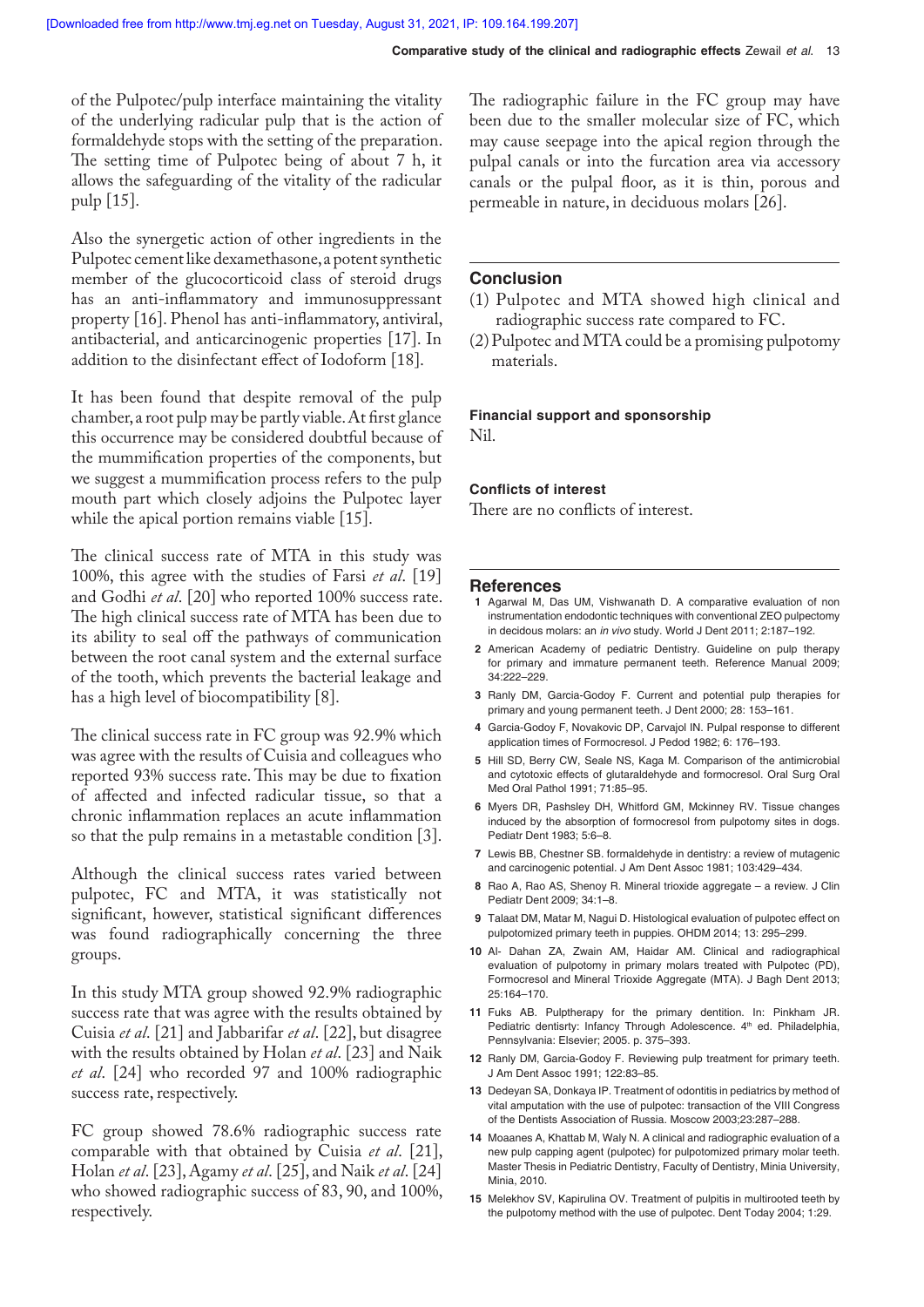of the Pulpotec/pulp interface maintaining the vitality of the underlying radicular pulp that is the action of formaldehyde stops with the setting of the preparation. The setting time of Pulpotec being of about 7 h, it allows the safeguarding of the vitality of the radicular pulp [15].

Also the synergetic action of other ingredients in the Pulpotec cement like dexamethasone, a potent synthetic member of the glucocorticoid class of steroid drugs has an anti-inflammatory and immunosuppressant property [16]. Phenol has anti-inflammatory, antiviral, antibacterial, and anticarcinogenic properties [17]. In addition to the disinfectant effect of Iodoform [18].

It has been found that despite removal of the pulp chamber, a root pulp may be partly viable. At first glance this occurrence may be considered doubtful because of the mummification properties of the components, but we suggest a mummification process refers to the pulp mouth part which closely adjoins the Pulpotec layer while the apical portion remains viable [15].

The clinical success rate of MTA in this study was 100%, this agree with the studies of Farsi *et al*. [19] and Godhi *et al*. [20] who reported 100% success rate. The high clinical success rate of MTA has been due to its ability to seal off the pathways of communication between the root canal system and the external surface of the tooth, which prevents the bacterial leakage and has a high level of biocompatibility [8].

The clinical success rate in FC group was 92.9% which was agree with the results of Cuisia and colleagues who reported 93% success rate. This may be due to fixation of affected and infected radicular tissue, so that a chronic inflammation replaces an acute inflammation so that the pulp remains in a metastable condition [3].

Although the clinical success rates varied between pulpotec, FC and MTA, it was statistically not significant, however, statistical significant differences was found radiographically concerning the three groups.

In this study MTA group showed 92.9% radiographic success rate that was agree with the results obtained by Cuisia *et al*. [21] and Jabbarifar *et al*. [22], but disagree with the results obtained by Holan *et al*. [23] and Naik *et al*. [24] who recorded 97 and 100% radiographic success rate, respectively.

FC group showed 78.6% radiographic success rate comparable with that obtained by Cuisia *et al*. [21], Holan *et al*. [23], Agamy *et al*. [25], and Naik *et al*. [24] who showed radiographic success of 83, 90, and 100%, respectively.

The radiographic failure in the FC group may have been due to the smaller molecular size of FC, which may cause seepage into the apical region through the pulpal canals or into the furcation area via accessory canals or the pulpal floor, as it is thin, porous and permeable in nature, in deciduous molars [26].

#### **Conclusion**

- (1) Pulpotec and MTA showed high clinical and radiographic success rate compared to FC.
- (2)Pulpotec and MTA could be a promising pulpotomy materials.

#### **Financial support and sponsorship** Nil.

#### **Conflicts of interest**

There are no conflicts of interest.

#### **References**

- **1** Agarwal M, Das UM, Vishwanath D. A comparative evaluation of non instrumentation endodontic techniques with conventional ZEO pulpectomy in decidous molars: an *in vivo* study. World J Dent 2011; 2:187–192.
- **2** American Academy of pediatric Dentistry. Guideline on pulp therapy for primary and immature permanent teeth. Reference Manual 2009; 34:222–229.
- **3** Ranly DM, Garcia-Godoy F. Current and potential pulp therapies for primary and young permanent teeth. J Dent 2000; 28: 153–161.
- **4** Garcia‑Godoy F, Novakovic DP, Carvajol IN. Pulpal response to different application times of Formocresol. J Pedod 1982; 6: 176–193.
- **5** Hill SD, Berry CW, Seale NS, Kaga M. Comparison of the antimicrobial and cytotoxic effects of glutaraldehyde and formocresol. Oral Surg Oral Med Oral Pathol 1991; 71:85–95.
- **6** Myers DR, Pashsley DH, Whitford GM, Mckinney RV. Tissue changes induced by the absorption of formocresol from pulpotomy sites in dogs. Pediatr Dent 1983; 5:6–8.
- **7** Lewis BB, Chestner SB. formaldehyde in dentistry: a review of mutagenic and carcinogenic potential. J Am Dent Assoc 1981; 103:429–434.
- **8** Rao A, Rao AS, Shenoy R. Mineral trioxide aggregate a review. J Clin Pediatr Dent 2009; 34:1–8.
- **9** Talaat DM, Matar M, Nagui D. Histological evaluation of pulpotec effect on pulpotomized primary teeth in puppies. OHDM 2014; 13: 295–299.
- **10** Al‑ Dahan ZA, Zwain AM, Haidar AM. Clinical and radiographical evaluation of pulpotomy in primary molars treated with Pulpotec (PD), Formocresol and Mineral Trioxide Aggregate (MTA). J Bagh Dent 2013; 25:164–170.
- **11** Fuks AB. Pulptherapy for the primary dentition. In: Pinkham JR. Pediatric dentisrty: Infancy Through Adolescence. 4<sup>th</sup> ed. Philadelphia, Pennsylvania: Elsevier; 2005. p. 375–393.
- **12** Ranly DM, Garcia-Godoy F. Reviewing pulp treatment for primary teeth. J Am Dent Assoc 1991; 122:83–85.
- **13** Dedeyan SA, Donkaya IP. Treatment of odontitis in pediatrics by method of vital amputation with the use of pulpotec: transaction of the VIII Congress of the Dentists Association of Russia. Moscow 2003;23:287–288.
- **14** Moaanes A, Khattab M, Waly N. A clinical and radiographic evaluation of a new pulp capping agent (pulpotec) for pulpotomized primary molar teeth. Master Thesis in Pediatric Dentistry, Faculty of Dentistry, Minia University, Minia, 2010.
- **15** Melekhov SV, Kapirulina OV. Treatment of pulpitis in multirooted teeth by the pulpotomy method with the use of pulpotec. Dent Today 2004; 1:29.